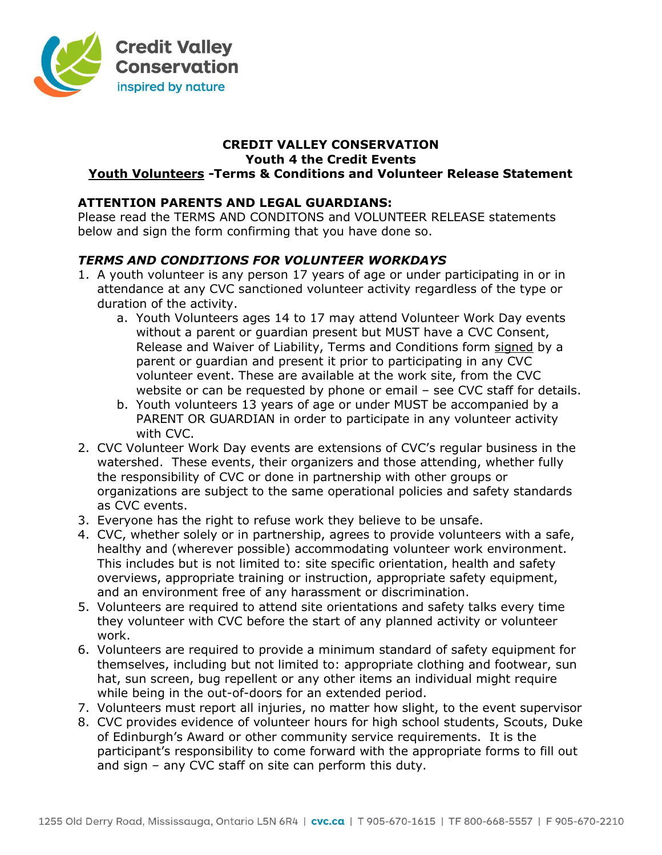

#### CREDIT VALLEY CONSERVATION Youth 4 the Credit Events

# Youth Volunteers -Terms & Conditions and Volunteer Release Statement

## ATTENTION PARENTS AND LEGAL GUARDIANS:

Please read the TERMS AND CONDITONS and VOLUNTEER RELEASE statements below and sign the form confirming that you have done so.

## TERMS AND CONDITIONS FOR VOLUNTEER WORKDAYS

- 1. A youth volunteer is any person 17 years of age or under participating in or in attendance at any CVC sanctioned volunteer activity regardless of the type or duration of the activity.
	- a. Youth Volunteers ages 14 to 17 may attend Volunteer Work Day events without a parent or guardian present but MUST have a CVC Consent, Release and Waiver of Liability, Terms and Conditions form signed by a parent or guardian and present it prior to participating in any CVC volunteer event. These are available at the work site, from the CVC website or can be requested by phone or email – see CVC staff for details.
	- b. Youth volunteers 13 years of age or under MUST be accompanied by a PARENT OR GUARDIAN in order to participate in any volunteer activity with CVC.
- 2. CVC Volunteer Work Day events are extensions of CVC's regular business in the watershed. These events, their organizers and those attending, whether fully the responsibility of CVC or done in partnership with other groups or organizations are subject to the same operational policies and safety standards as CVC events.
- 3. Everyone has the right to refuse work they believe to be unsafe.
- 4. CVC, whether solely or in partnership, agrees to provide volunteers with a safe, healthy and (wherever possible) accommodating volunteer work environment. This includes but is not limited to: site specific orientation, health and safety overviews, appropriate training or instruction, appropriate safety equipment, and an environment free of any harassment or discrimination.
- 5. Volunteers are required to attend site orientations and safety talks every time they volunteer with CVC before the start of any planned activity or volunteer work.
- 6. Volunteers are required to provide a minimum standard of safety equipment for themselves, including but not limited to: appropriate clothing and footwear, sun hat, sun screen, bug repellent or any other items an individual might require while being in the out-of-doors for an extended period.
- 7. Volunteers must report all injuries, no matter how slight, to the event supervisor
- 8. CVC provides evidence of volunteer hours for high school students, Scouts, Duke of Edinburgh's Award or other community service requirements. It is the participant's responsibility to come forward with the appropriate forms to fill out and sign – any CVC staff on site can perform this duty.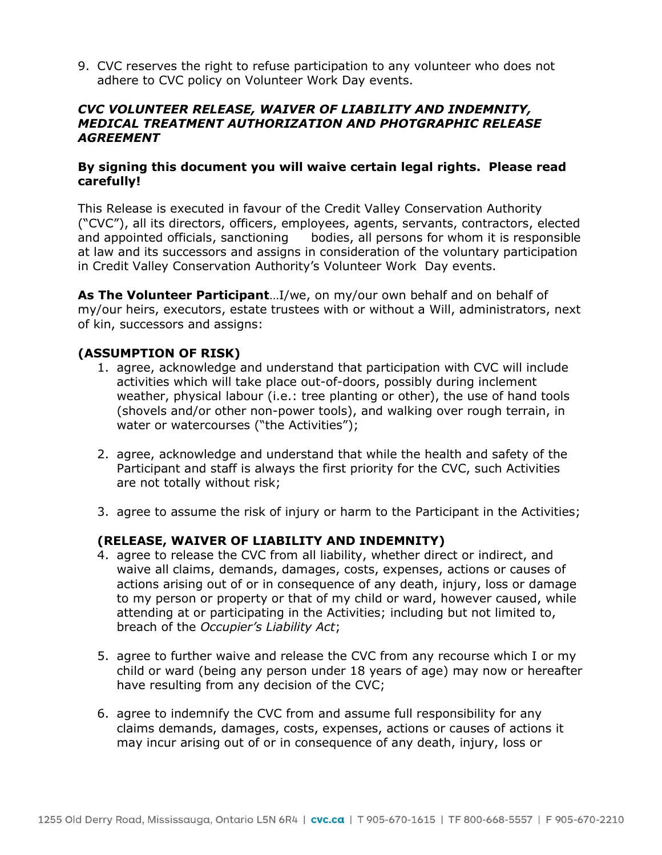9. CVC reserves the right to refuse participation to any volunteer who does not adhere to CVC policy on Volunteer Work Day events.

#### CVC VOLUNTEER RELEASE, WAIVER OF LIABILITY AND INDEMNITY, MEDICAL TREATMENT AUTHORIZATION AND PHOTGRAPHIC RELEASE **AGREEMENT**

#### By signing this document you will waive certain legal rights. Please read carefully!

This Release is executed in favour of the Credit Valley Conservation Authority ("CVC"), all its directors, officers, employees, agents, servants, contractors, elected and appointed officials, sanctioning bodies, all persons for whom it is responsible at law and its successors and assigns in consideration of the voluntary participation in Credit Valley Conservation Authority's Volunteer Work Day events.

As The Volunteer Participant...I/we, on my/our own behalf and on behalf of my/our heirs, executors, estate trustees with or without a Will, administrators, next of kin, successors and assigns:

#### (ASSUMPTION OF RISK)

- 1. agree, acknowledge and understand that participation with CVC will include activities which will take place out-of-doors, possibly during inclement weather, physical labour (i.e.: tree planting or other), the use of hand tools (shovels and/or other non-power tools), and walking over rough terrain, in water or watercourses ("the Activities");
- 2. agree, acknowledge and understand that while the health and safety of the Participant and staff is always the first priority for the CVC, such Activities are not totally without risk;
- 3. agree to assume the risk of injury or harm to the Participant in the Activities;

## (RELEASE, WAIVER OF LIABILITY AND INDEMNITY)

- 4. agree to release the CVC from all liability, whether direct or indirect, and waive all claims, demands, damages, costs, expenses, actions or causes of actions arising out of or in consequence of any death, injury, loss or damage to my person or property or that of my child or ward, however caused, while attending at or participating in the Activities; including but not limited to, breach of the Occupier's Liability Act;
- 5. agree to further waive and release the CVC from any recourse which I or my child or ward (being any person under 18 years of age) may now or hereafter have resulting from any decision of the CVC;
- 6. agree to indemnify the CVC from and assume full responsibility for any claims demands, damages, costs, expenses, actions or causes of actions it may incur arising out of or in consequence of any death, injury, loss or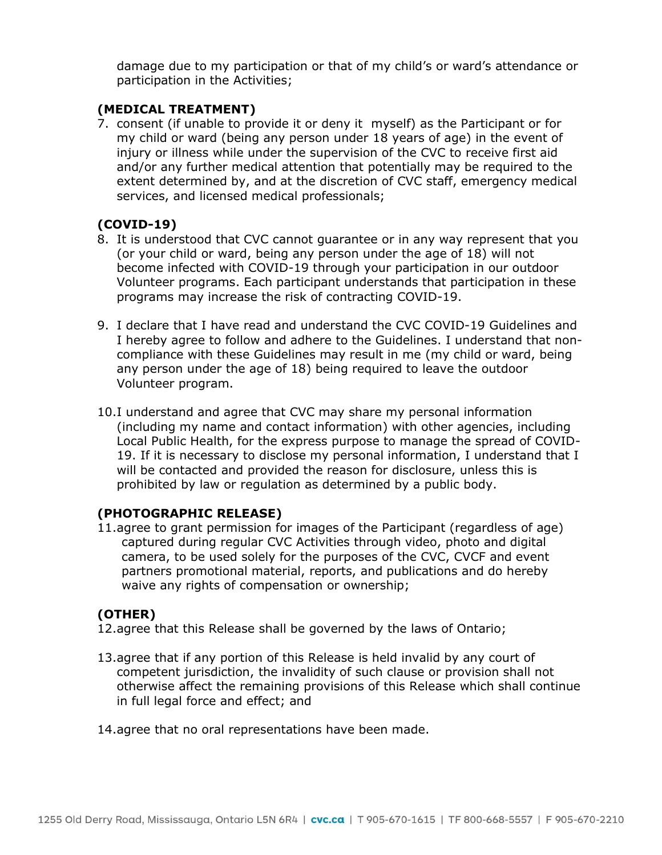damage due to my participation or that of my child's or ward's attendance or participation in the Activities;

## (MEDICAL TREATMENT)

7. consent (if unable to provide it or deny it myself) as the Participant or for my child or ward (being any person under 18 years of age) in the event of injury or illness while under the supervision of the CVC to receive first aid and/or any further medical attention that potentially may be required to the extent determined by, and at the discretion of CVC staff, emergency medical services, and licensed medical professionals;

#### (COVID-19)

- 8. It is understood that CVC cannot guarantee or in any way represent that you (or your child or ward, being any person under the age of 18) will not become infected with COVID-19 through your participation in our outdoor Volunteer programs. Each participant understands that participation in these programs may increase the risk of contracting COVID-19.
- 9. I declare that I have read and understand the CVC COVID-19 Guidelines and I hereby agree to follow and adhere to the Guidelines. I understand that noncompliance with these Guidelines may result in me (my child or ward, being any person under the age of 18) being required to leave the outdoor Volunteer program.
- 10.I understand and agree that CVC may share my personal information (including my name and contact information) with other agencies, including Local Public Health, for the express purpose to manage the spread of COVID-19. If it is necessary to disclose my personal information, I understand that I will be contacted and provided the reason for disclosure, unless this is prohibited by law or regulation as determined by a public body.

#### (PHOTOGRAPHIC RELEASE)

11.agree to grant permission for images of the Participant (regardless of age) captured during regular CVC Activities through video, photo and digital camera, to be used solely for the purposes of the CVC, CVCF and event partners promotional material, reports, and publications and do hereby waive any rights of compensation or ownership;

## (OTHER)

- 12.agree that this Release shall be governed by the laws of Ontario;
- 13.agree that if any portion of this Release is held invalid by any court of competent jurisdiction, the invalidity of such clause or provision shall not otherwise affect the remaining provisions of this Release which shall continue in full legal force and effect; and
- 14.agree that no oral representations have been made.